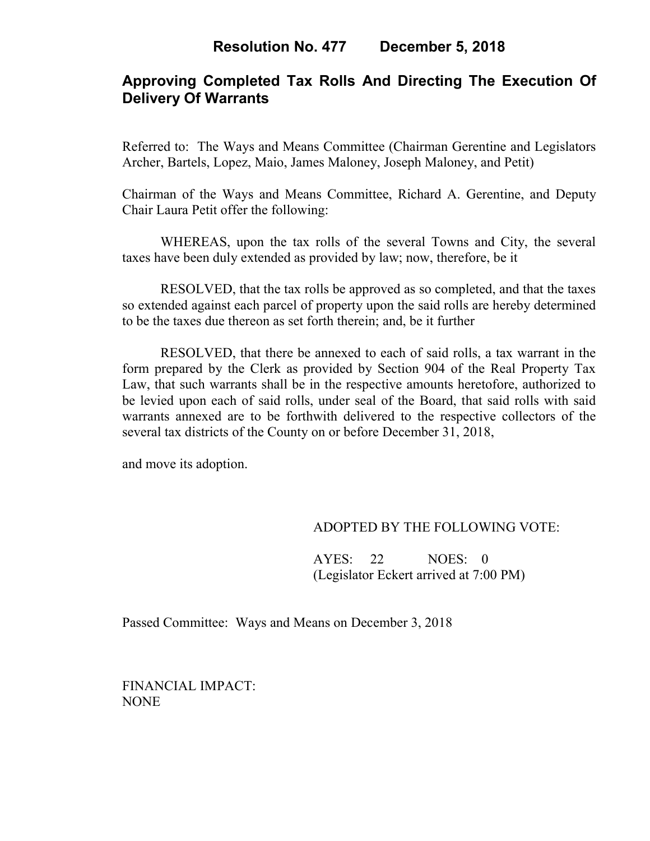# **Approving Completed Tax Rolls And Directing The Execution Of Delivery Of Warrants**

Referred to: The Ways and Means Committee (Chairman Gerentine and Legislators Archer, Bartels, Lopez, Maio, James Maloney, Joseph Maloney, and Petit)

Chairman of the Ways and Means Committee, Richard A. Gerentine, and Deputy Chair Laura Petit offer the following:

WHEREAS, upon the tax rolls of the several Towns and City, the several taxes have been duly extended as provided by law; now, therefore, be it

RESOLVED, that the tax rolls be approved as so completed, and that the taxes so extended against each parcel of property upon the said rolls are hereby determined to be the taxes due thereon as set forth therein; and, be it further

RESOLVED, that there be annexed to each of said rolls, a tax warrant in the form prepared by the Clerk as provided by Section 904 of the Real Property Tax Law, that such warrants shall be in the respective amounts heretofore, authorized to be levied upon each of said rolls, under seal of the Board, that said rolls with said warrants annexed are to be forthwith delivered to the respective collectors of the several tax districts of the County on or before December 31, 2018,

and move its adoption.

## ADOPTED BY THE FOLLOWING VOTE:

 AYES: 22 NOES: 0 (Legislator Eckert arrived at 7:00 PM)

Passed Committee: Ways and Means on December 3, 2018

FINANCIAL IMPACT: NONE